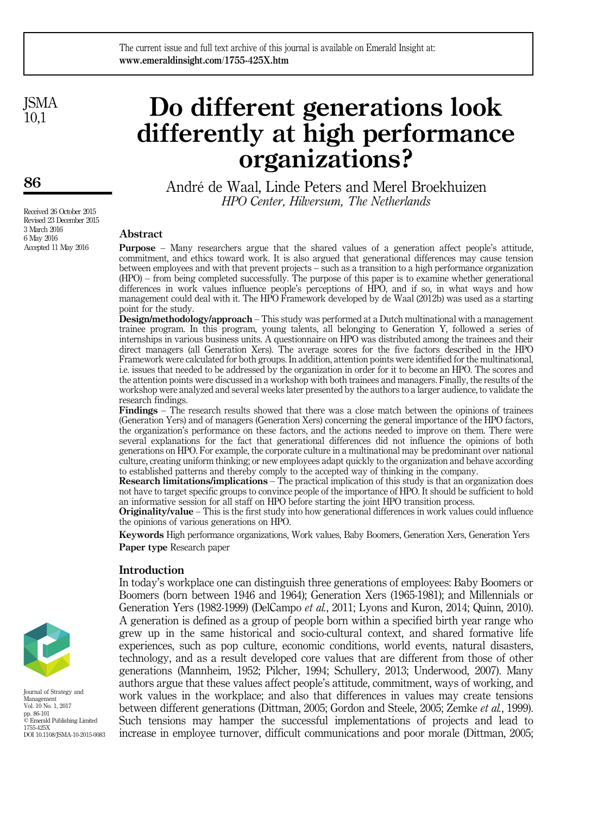**ISMA** 10,1

86

Received 26 October 2015 Revised 23 December 2015 3 March 2016 6 May 2016 Accepted 11 May 2016

# Do different generations look differently at high performance organizations?

André de Waal, Linde Peters and Merel Broekhuizen HPO Center, Hilversum, The Netherlands

# Abstract

Purpose – Many researchers argue that the shared values of a generation affect people's attitude, commitment, and ethics toward work. It is also argued that generational differences may cause tension between employees and with that prevent projects – such as a transition to a high performance organization (HPO) – from being completed successfully. The purpose of this paper is to examine whether generational differences in work values influence people's perceptions of HPO, and if so, in what ways and how management could deal with it. The HPO Framework developed by de Waal (2012b) was used as a starting point for the study.

Design/methodology/approach – This study was performed at a Dutch multinational with a management trainee program. In this program, young talents, all belonging to Generation Y, followed a series of internships in various business units. A questionnaire on HPO was distributed among the trainees and their direct managers (all Generation Xers). The average scores for the five factors described in the HPO Framework were calculated for both groups. In addition, attention points were identified for the multinational, i.e. issues that needed to be addressed by the organization in order for it to become an HPO. The scores and the attention points were discussed in a workshop with both trainees and managers. Finally, the results of the workshop were analyzed and several weeks later presented by the authors to a larger audience, to validate the research findings.

Findings – The research results showed that there was a close match between the opinions of trainees (Generation Yers) and of managers (Generation Xers) concerning the general importance of the HPO factors, the organization's performance on these factors, and the actions needed to improve on them. There were several explanations for the fact that generational differences did not influence the opinions of both generations on HPO. For example, the corporate culture in a multinational may be predominant over national culture, creating uniform thinking; or new employees adapt quickly to the organization and behave according to established patterns and thereby comply to the accepted way of thinking in the company.

Research limitations/implications – The practical implication of this study is that an organization does not have to target specific groups to convince people of the importance of HPO. It should be sufficient to hold an informative session for all staff on HPO before starting the joint HPO transition process.

Originality/value – This is the first study into how generational differences in work values could influence the opinions of various generations on HPO.

Keywords High performance organizations, Work values, Baby Boomers, Generation Xers, Generation Yers Paper type Research paper

# Introduction

In today's workplace one can distinguish three generations of employees: Baby Boomers or Boomers (born between 1946 and 1964); Generation Xers (1965-1981); and Millennials or Generation Yers (1982-1999) (DelCampo et al., 2011; Lyons and Kuron, 2014; Quinn, 2010). A generation is defined as a group of people born within a specified birth year range who grew up in the same historical and socio-cultural context, and shared formative life experiences, such as pop culture, economic conditions, world events, natural disasters, technology, and as a result developed core values that are different from those of other generations (Mannheim, 1952; Pilcher, 1994; Schullery, 2013; Underwood, 2007). Many authors argue that these values affect people's attitude, commitment, ways of working, and work values in the workplace; and also that differences in values may create tensions between different generations (Dittman, 2005; Gordon and Steele, 2005; Zemke et al., 1999). Such tensions may hamper the successful implementations of projects and lead to increase in employee turnover, difficult communications and poor morale (Dittman, 2005;



Journal of Strategy and Management Vol. 10 No. 1, 2017 pp. 86-101 © Emerald Publishing Limited 1755-425X DOI 10.1108/JSMA-10-2015-0083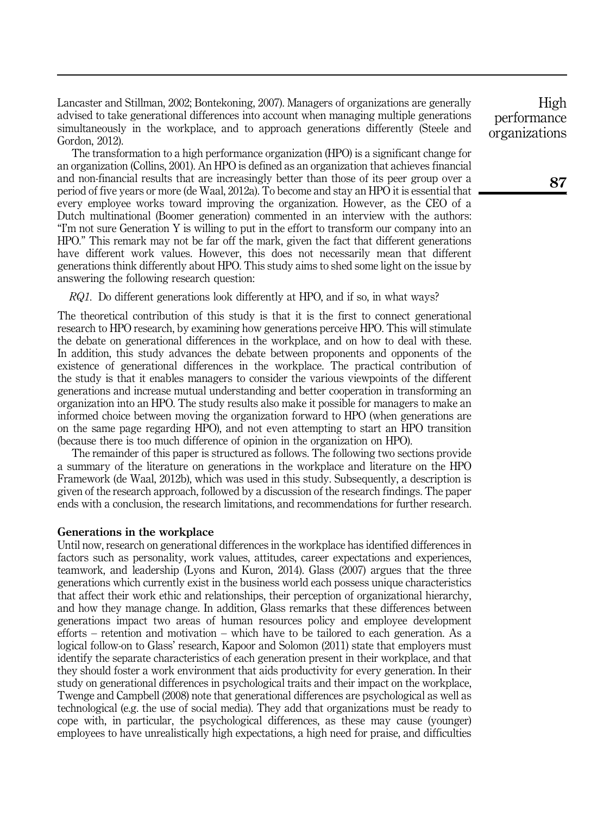Lancaster and Stillman, 2002; Bontekoning, 2007). Managers of organizations are generally advised to take generational differences into account when managing multiple generations simultaneously in the workplace, and to approach generations differently (Steele and Gordon, 2012).

The transformation to a high performance organization (HPO) is a significant change for an organization (Collins, 2001). An HPO is defined as an organization that achieves financial and non-financial results that are increasingly better than those of its peer group over a period of five years or more (de Waal, 2012a). To become and stay an HPO it is essential that every employee works toward improving the organization. However, as the CEO of a Dutch multinational (Boomer generation) commented in an interview with the authors: "I'm not sure Generation Y is willing to put in the effort to transform our company into an HPO." This remark may not be far off the mark, given the fact that different generations have different work values. However, this does not necessarily mean that different generations think differently about HPO. This study aims to shed some light on the issue by answering the following research question:

RQ1. Do different generations look differently at HPO, and if so, in what ways?

The theoretical contribution of this study is that it is the first to connect generational research to HPO research, by examining how generations perceive HPO. This will stimulate the debate on generational differences in the workplace, and on how to deal with these. In addition, this study advances the debate between proponents and opponents of the existence of generational differences in the workplace. The practical contribution of the study is that it enables managers to consider the various viewpoints of the different generations and increase mutual understanding and better cooperation in transforming an organization into an HPO. The study results also make it possible for managers to make an informed choice between moving the organization forward to HPO (when generations are on the same page regarding HPO), and not even attempting to start an HPO transition (because there is too much difference of opinion in the organization on HPO).

The remainder of this paper is structured as follows. The following two sections provide a summary of the literature on generations in the workplace and literature on the HPO Framework (de Waal, 2012b), which was used in this study. Subsequently, a description is given of the research approach, followed by a discussion of the research findings. The paper ends with a conclusion, the research limitations, and recommendations for further research.

# Generations in the workplace

Until now, research on generational differences in the workplace has identified differences in factors such as personality, work values, attitudes, career expectations and experiences, teamwork, and leadership (Lyons and Kuron, 2014). Glass (2007) argues that the three generations which currently exist in the business world each possess unique characteristics that affect their work ethic and relationships, their perception of organizational hierarchy, and how they manage change. In addition, Glass remarks that these differences between generations impact two areas of human resources policy and employee development efforts – retention and motivation – which have to be tailored to each generation. As a logical follow-on to Glass' research, Kapoor and Solomon (2011) state that employers must identify the separate characteristics of each generation present in their workplace, and that they should foster a work environment that aids productivity for every generation. In their study on generational differences in psychological traits and their impact on the workplace, Twenge and Campbell (2008) note that generational differences are psychological as well as technological (e.g. the use of social media). They add that organizations must be ready to cope with, in particular, the psychological differences, as these may cause (younger) employees to have unrealistically high expectations, a high need for praise, and difficulties

High performance organizations

87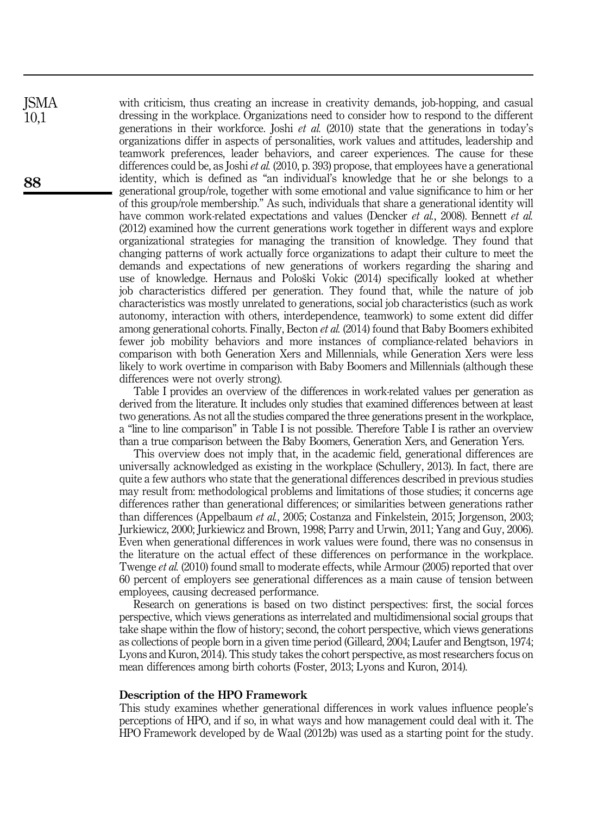with criticism, thus creating an increase in creativity demands, job-hopping, and casual dressing in the workplace. Organizations need to consider how to respond to the different generations in their workforce. Joshi *et al.* (2010) state that the generations in today's organizations differ in aspects of personalities, work values and attitudes, leadership and teamwork preferences, leader behaviors, and career experiences. The cause for these differences could be, as Joshi *et al.* (2010, p. 393) propose, that employees have a generational identity, which is defined as "an individual's knowledge that he or she belongs to a generational group/role, together with some emotional and value significance to him or her of this group/role membership." As such, individuals that share a generational identity will have common work-related expectations and values (Dencker *et al.*, 2008). Bennett *et al.* (2012) examined how the current generations work together in different ways and explore organizational strategies for managing the transition of knowledge. They found that changing patterns of work actually force organizations to adapt their culture to meet the demands and expectations of new generations of workers regarding the sharing and use of knowledge. Hernaus and Pološki Vokic (2014) specifically looked at whether job characteristics differed per generation. They found that, while the nature of job characteristics was mostly unrelated to generations, social job characteristics (such as work autonomy, interaction with others, interdependence, teamwork) to some extent did differ among generational cohorts. Finally, Becton et al. (2014) found that Baby Boomers exhibited fewer job mobility behaviors and more instances of compliance-related behaviors in comparison with both Generation Xers and Millennials, while Generation Xers were less likely to work overtime in comparison with Baby Boomers and Millennials (although these differences were not overly strong).

Table I provides an overview of the differences in work-related values per generation as derived from the literature. It includes only studies that examined differences between at least two generations. As not all the studies compared the three generations present in the workplace, a "line to line comparison" in Table I is not possible. Therefore Table I is rather an overview than a true comparison between the Baby Boomers, Generation Xers, and Generation Yers.

This overview does not imply that, in the academic field, generational differences are universally acknowledged as existing in the workplace (Schullery, 2013). In fact, there are quite a few authors who state that the generational differences described in previous studies may result from: methodological problems and limitations of those studies; it concerns age differences rather than generational differences; or similarities between generations rather than differences (Appelbaum et al., 2005; Costanza and Finkelstein, 2015; Jorgenson, 2003; Jurkiewicz, 2000; Jurkiewicz and Brown, 1998; Parry and Urwin, 2011; Yang and Guy, 2006). Even when generational differences in work values were found, there was no consensus in the literature on the actual effect of these differences on performance in the workplace. Twenge et al. (2010) found small to moderate effects, while Armour (2005) reported that over 60 percent of employers see generational differences as a main cause of tension between employees, causing decreased performance.

Research on generations is based on two distinct perspectives: first, the social forces perspective, which views generations as interrelated and multidimensional social groups that take shape within the flow of history; second, the cohort perspective, which views generations as collections of people born in a given time period (Gilleard, 2004; Laufer and Bengtson, 1974; Lyons and Kuron, 2014). This study takes the cohort perspective, as most researchers focus on mean differences among birth cohorts (Foster, 2013; Lyons and Kuron, 2014).

#### Description of the HPO Framework

This study examines whether generational differences in work values influence people's perceptions of HPO, and if so, in what ways and how management could deal with it. The HPO Framework developed by de Waal (2012b) was used as a starting point for the study.

88

**ISMA** 10,1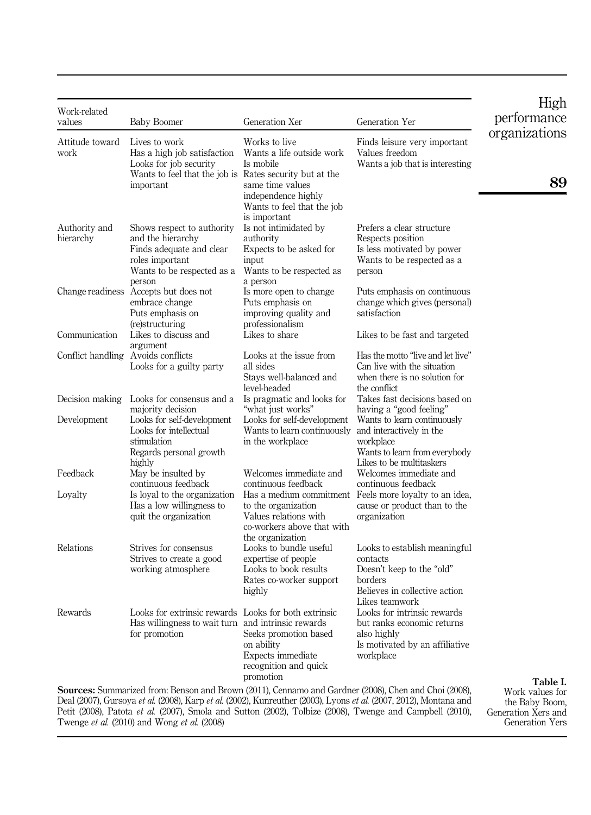| Work-related<br>values             | <b>Baby Boomer</b>                                                                                                                             | Generation Xer                                                                                                                                   | Generation Yer                                                                                                                       | High<br>performance |
|------------------------------------|------------------------------------------------------------------------------------------------------------------------------------------------|--------------------------------------------------------------------------------------------------------------------------------------------------|--------------------------------------------------------------------------------------------------------------------------------------|---------------------|
| Attitude toward<br>work            | Lives to work<br>Has a high job satisfaction<br>Looks for job security<br>Wants to feel that the job is Rates security but at the<br>important | Works to live<br>Wants a life outside work<br>Is mobile<br>same time values<br>independence highly                                               | Finds leisure very important<br>Values freedom<br>Wants a job that is interesting                                                    | organizations<br>89 |
| Authority and<br>hierarchy         | Shows respect to authority<br>and the hierarchy<br>Finds adequate and clear<br>roles important<br>Wants to be respected as a                   | Wants to feel that the job<br>is important<br>Is not intimidated by<br>authority<br>Expects to be asked for<br>input<br>Wants to be respected as | Prefers a clear structure<br>Respects position<br>Is less motivated by power<br>Wants to be respected as a<br>person                 |                     |
|                                    | person<br>Change readiness Accepts but does not<br>embrace change<br>Puts emphasis on<br>(re)structuring                                       | a person<br>Is more open to change<br>Puts emphasis on<br>improving quality and<br>professionalism                                               | Puts emphasis on continuous<br>change which gives (personal)<br>satisfaction                                                         |                     |
| Communication                      | Likes to discuss and<br>argument                                                                                                               | Likes to share                                                                                                                                   | Likes to be fast and targeted                                                                                                        |                     |
| Conflict handling Avoids conflicts | Looks for a guilty party                                                                                                                       | Looks at the issue from<br>all sides<br>Stays well-balanced and<br>level-headed                                                                  | Has the motto "live and let live"<br>Can live with the situation<br>when there is no solution for<br>the conflict                    |                     |
| Decision making                    | Looks for consensus and a<br>majority decision                                                                                                 | Is pragmatic and looks for<br>"what just works"                                                                                                  | Takes fast decisions based on<br>having a "good feeling"                                                                             |                     |
| Development                        | Looks for self-development<br>Looks for intellectual<br>stimulation<br>Regards personal growth<br>highly                                       | Looks for self-development<br>Wants to learn continuously<br>in the workplace                                                                    | Wants to learn continuously<br>and interactively in the<br>workplace<br>Wants to learn from everybody<br>Likes to be multitaskers    |                     |
| Feedback                           | May be insulted by<br>continuous feedback                                                                                                      | Welcomes immediate and<br>continuous feedback                                                                                                    | Welcomes immediate and<br>continuous feedback                                                                                        |                     |
| Loyalty                            | Is loyal to the organization<br>Has a low willingness to<br>quit the organization                                                              | Has a medium commitment<br>to the organization<br>Values relations with<br>co-workers above that with                                            | Feels more loyalty to an idea,<br>cause or product than to the<br>organization                                                       |                     |
| Relations                          | Strives for consensus<br>Strives to create a good<br>working atmosphere                                                                        | the organization<br>Looks to bundle useful<br>expertise of people<br>Looks to book results<br>Rates co-worker support<br>highly                  | Looks to establish meaningful<br>contacts<br>Doesn't keep to the "old"<br>borders<br>Believes in collective action<br>Likes teamwork |                     |
| Rewards                            | Looks for extrinsic rewards Looks for both extrinsic<br>Has willingness to wait turn and intrinsic rewards<br>for promotion                    | Seeks promotion based<br>on ability<br>Expects immediate<br>recognition and quick<br>promotion                                                   | Looks for intrinsic rewards<br>but ranks economic returns<br>also highly<br>Is motivated by an affiliative<br>workplace              | Table I.            |

Deal (2007), Gursoya *et al.* (2008), Karp *et al.* (2002), Kunreuther (2003), Lyons *et al.* (2007, 2012), Montana and Petit (2008), Patota et al. (2007), Smola and Sutton (2002), Tolbize (2008), Twenge and Campbell (2010), Twenge et al. (2010) and Wong et al. (2008)

the Baby Boom, Generation Xers and Generation Yers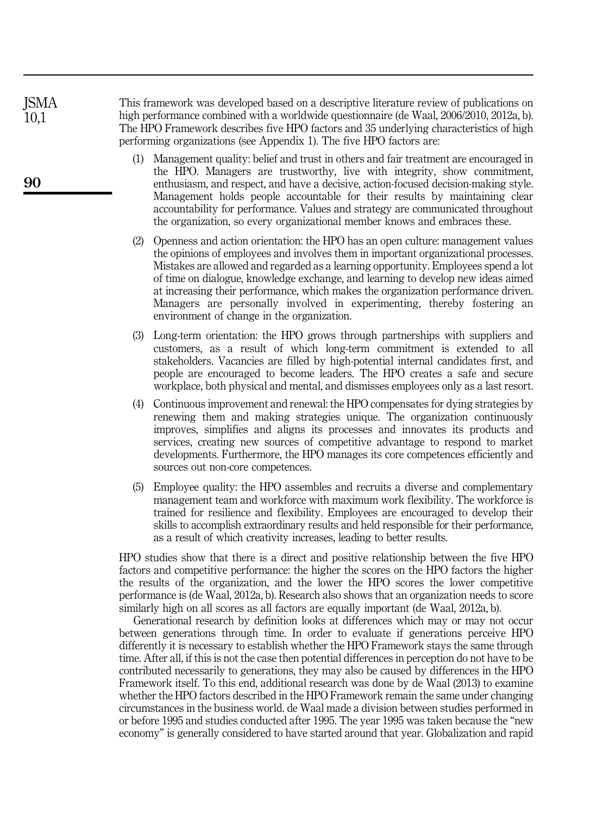This framework was developed based on a descriptive literature review of publications on high performance combined with a worldwide questionnaire (de Waal, 2006/2010, 2012a, b). The HPO Framework describes five HPO factors and 35 underlying characteristics of high performing organizations (see Appendix 1). The five HPO factors are:

- (1) Management quality: belief and trust in others and fair treatment are encouraged in the HPO. Managers are trustworthy, live with integrity, show commitment, enthusiasm, and respect, and have a decisive, action-focused decision-making style. Management holds people accountable for their results by maintaining clear accountability for performance. Values and strategy are communicated throughout the organization, so every organizational member knows and embraces these.
- (2) Openness and action orientation: the HPO has an open culture: management values the opinions of employees and involves them in important organizational processes. Mistakes are allowed and regarded as a learning opportunity. Employees spend a lot of time on dialogue, knowledge exchange, and learning to develop new ideas aimed at increasing their performance, which makes the organization performance driven. Managers are personally involved in experimenting, thereby fostering an environment of change in the organization.
- (3) Long-term orientation: the HPO grows through partnerships with suppliers and customers, as a result of which long-term commitment is extended to all stakeholders. Vacancies are filled by high-potential internal candidates first, and people are encouraged to become leaders. The HPO creates a safe and secure workplace, both physical and mental, and dismisses employees only as a last resort.
- (4) Continuous improvement and renewal: the HPO compensates for dying strategies by renewing them and making strategies unique. The organization continuously improves, simplifies and aligns its processes and innovates its products and services, creating new sources of competitive advantage to respond to market developments. Furthermore, the HPO manages its core competences efficiently and sources out non-core competences.
- (5) Employee quality: the HPO assembles and recruits a diverse and complementary management team and workforce with maximum work flexibility. The workforce is trained for resilience and flexibility. Employees are encouraged to develop their skills to accomplish extraordinary results and held responsible for their performance, as a result of which creativity increases, leading to better results.

HPO studies show that there is a direct and positive relationship between the five HPO factors and competitive performance: the higher the scores on the HPO factors the higher the results of the organization, and the lower the HPO scores the lower competitive performance is (de Waal, 2012a, b). Research also shows that an organization needs to score similarly high on all scores as all factors are equally important (de Waal, 2012a, b).

Generational research by definition looks at differences which may or may not occur between generations through time. In order to evaluate if generations perceive HPO differently it is necessary to establish whether the HPO Framework stays the same through time. After all, if this is not the case then potential differences in perception do not have to be contributed necessarily to generations, they may also be caused by differences in the HPO Framework itself. To this end, additional research was done by de Waal (2013) to examine whether the HPO factors described in the HPO Framework remain the same under changing circumstances in the business world. de Waal made a division between studies performed in or before 1995 and studies conducted after 1995. The year 1995 was taken because the "new economy" is generally considered to have started around that year. Globalization and rapid

90

**ISMA** 10,1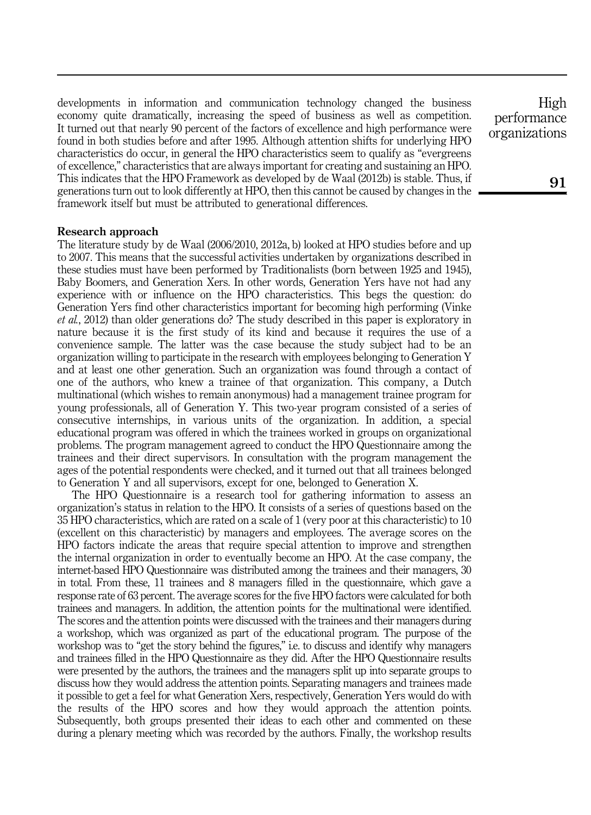developments in information and communication technology changed the business economy quite dramatically, increasing the speed of business as well as competition. It turned out that nearly 90 percent of the factors of excellence and high performance were found in both studies before and after 1995. Although attention shifts for underlying HPO characteristics do occur, in general the HPO characteristics seem to qualify as "evergreens of excellence," characteristics that are always important for creating and sustaining an HPO. This indicates that the HPO Framework as developed by de Waal (2012b) is stable. Thus, if generations turn out to look differently at HPO, then this cannot be caused by changes in the framework itself but must be attributed to generational differences.

## Research approach

The literature study by de Waal (2006/2010, 2012a, b) looked at HPO studies before and up to 2007. This means that the successful activities undertaken by organizations described in these studies must have been performed by Traditionalists (born between 1925 and 1945), Baby Boomers, and Generation Xers. In other words, Generation Yers have not had any experience with or influence on the HPO characteristics. This begs the question: do Generation Yers find other characteristics important for becoming high performing (Vinke  $et al.$  2012) than older generations do? The study described in this paper is exploratory in nature because it is the first study of its kind and because it requires the use of a convenience sample. The latter was the case because the study subject had to be an organization willing to participate in the research with employees belonging to Generation Y and at least one other generation. Such an organization was found through a contact of one of the authors, who knew a trainee of that organization. This company, a Dutch multinational (which wishes to remain anonymous) had a management trainee program for young professionals, all of Generation Y. This two-year program consisted of a series of consecutive internships, in various units of the organization. In addition, a special educational program was offered in which the trainees worked in groups on organizational problems. The program management agreed to conduct the HPO Questionnaire among the trainees and their direct supervisors. In consultation with the program management the ages of the potential respondents were checked, and it turned out that all trainees belonged to Generation Y and all supervisors, except for one, belonged to Generation X.

The HPO Questionnaire is a research tool for gathering information to assess an organization's status in relation to the HPO. It consists of a series of questions based on the 35 HPO characteristics, which are rated on a scale of 1 (very poor at this characteristic) to 10 (excellent on this characteristic) by managers and employees. The average scores on the HPO factors indicate the areas that require special attention to improve and strengthen the internal organization in order to eventually become an HPO. At the case company, the internet-based HPO Questionnaire was distributed among the trainees and their managers, 30 in total. From these, 11 trainees and 8 managers filled in the questionnaire, which gave a response rate of 63 percent. The average scores for the five HPO factors were calculated for both trainees and managers. In addition, the attention points for the multinational were identified. The scores and the attention points were discussed with the trainees and their managers during a workshop, which was organized as part of the educational program. The purpose of the workshop was to "get the story behind the figures," i.e. to discuss and identify why managers and trainees filled in the HPO Questionnaire as they did. After the HPO Questionnaire results were presented by the authors, the trainees and the managers split up into separate groups to discuss how they would address the attention points. Separating managers and trainees made it possible to get a feel for what Generation Xers, respectively, Generation Yers would do with the results of the HPO scores and how they would approach the attention points. Subsequently, both groups presented their ideas to each other and commented on these during a plenary meeting which was recorded by the authors. Finally, the workshop results

High performance organizations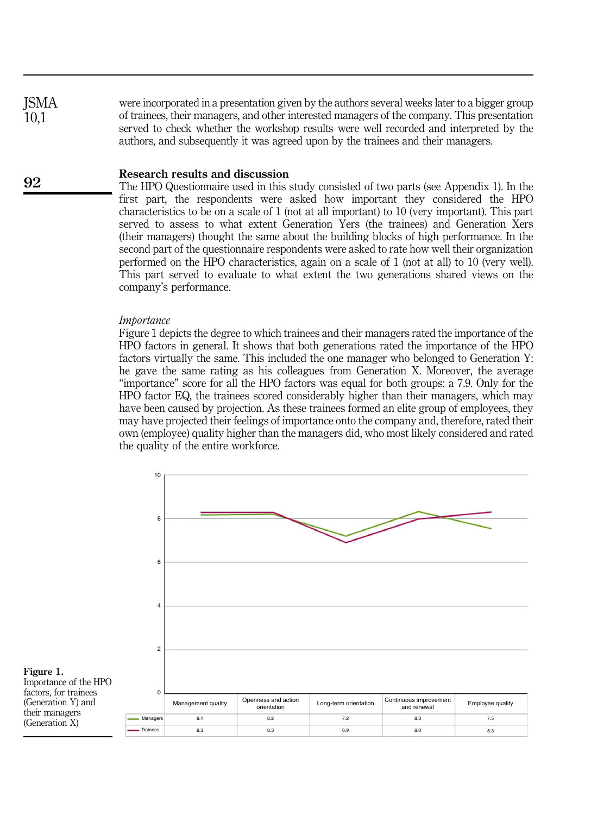were incorporated in a presentation given by the authors several weeks later to a bigger group of trainees, their managers, and other interested managers of the company. This presentation served to check whether the workshop results were well recorded and interpreted by the authors, and subsequently it was agreed upon by the trainees and their managers. **ISMA** 10,1

## Research results and discussion

The HPO Questionnaire used in this study consisted of two parts (see Appendix 1). In the first part, the respondents were asked how important they considered the HPO characteristics to be on a scale of 1 (not at all important) to 10 (very important). This part served to assess to what extent Generation Yers (the trainees) and Generation Xers (their managers) thought the same about the building blocks of high performance. In the second part of the questionnaire respondents were asked to rate how well their organization performed on the HPO characteristics, again on a scale of 1 (not at all) to 10 (very well). This part served to evaluate to what extent the two generations shared views on the company's performance.

#### **Importance**

92

Figure 1 depicts the degree to which trainees and their managers rated the importance of the HPO factors in general. It shows that both generations rated the importance of the HPO factors virtually the same. This included the one manager who belonged to Generation Y: he gave the same rating as his colleagues from Generation X. Moreover, the average "importance" score for all the HPO factors was equal for both groups: a 7.9. Only for the HPO factor EQ, the trainees scored considerably higher than their managers, which may have been caused by projection. As these trainees formed an elite group of employees, they may have projected their feelings of importance onto the company and, therefore, rated their own (employee) quality higher than the managers did, who most likely considered and rated the quality of the entire workforce.

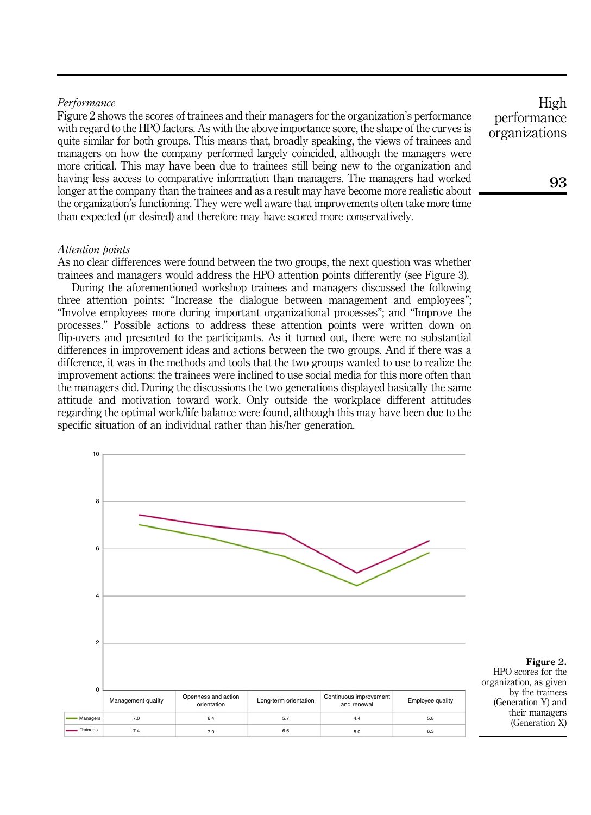# Performance

Figure 2 shows the scores of trainees and their managers for the organization's performance with regard to the HPO factors. As with the above importance score, the shape of the curves is quite similar for both groups. This means that, broadly speaking, the views of trainees and managers on how the company performed largely coincided, although the managers were more critical. This may have been due to trainees still being new to the organization and having less access to comparative information than managers. The managers had worked longer at the company than the trainees and as a result may have become more realistic about the organization's functioning. They were well aware that improvements often take more time than expected (or desired) and therefore may have scored more conservatively.

#### Attention points

As no clear differences were found between the two groups, the next question was whether trainees and managers would address the HPO attention points differently (see Figure 3).

During the aforementioned workshop trainees and managers discussed the following three attention points: "Increase the dialogue between management and employees"; "Involve employees more during important organizational processes"; and "Improve the processes." Possible actions to address these attention points were written down on flip-overs and presented to the participants. As it turned out, there were no substantial differences in improvement ideas and actions between the two groups. And if there was a difference, it was in the methods and tools that the two groups wanted to use to realize the improvement actions: the trainees were inclined to use social media for this more often than the managers did. During the discussions the two generations displayed basically the same attitude and motivation toward work. Only outside the workplace different attitudes regarding the optimal work/life balance were found, although this may have been due to the specific situation of an individual rather than his/her generation.



High performance organizations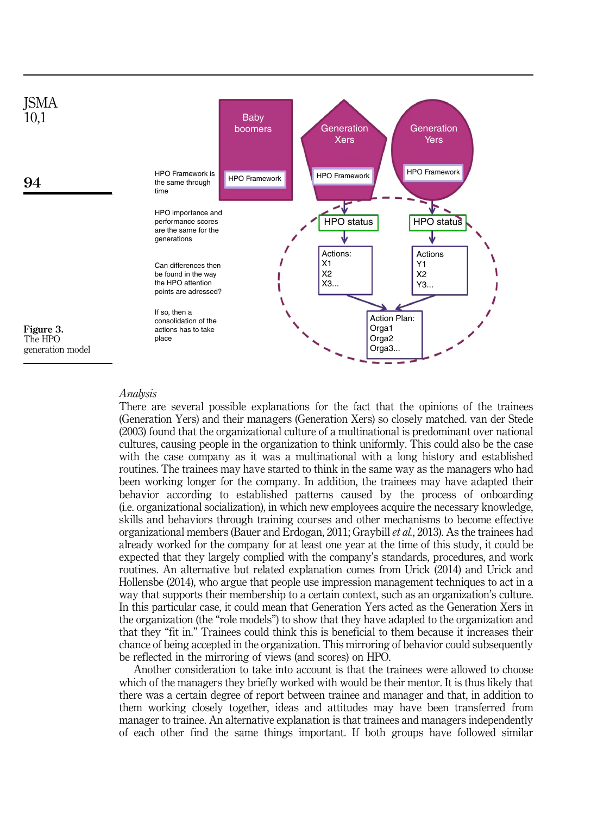

# Analysis

There are several possible explanations for the fact that the opinions of the trainees (Generation Yers) and their managers (Generation Xers) so closely matched. van der Stede (2003) found that the organizational culture of a multinational is predominant over national cultures, causing people in the organization to think uniformly. This could also be the case with the case company as it was a multinational with a long history and established routines. The trainees may have started to think in the same way as the managers who had been working longer for the company. In addition, the trainees may have adapted their behavior according to established patterns caused by the process of onboarding (i.e. organizational socialization), in which new employees acquire the necessary knowledge, skills and behaviors through training courses and other mechanisms to become effective organizational members (Bauer and Erdogan, 2011; Graybill et al., 2013). As the trainees had already worked for the company for at least one year at the time of this study, it could be expected that they largely complied with the company's standards, procedures, and work routines. An alternative but related explanation comes from Urick (2014) and Urick and Hollensbe (2014), who argue that people use impression management techniques to act in a way that supports their membership to a certain context, such as an organization's culture. In this particular case, it could mean that Generation Yers acted as the Generation Xers in the organization (the "role models") to show that they have adapted to the organization and that they "fit in." Trainees could think this is beneficial to them because it increases their chance of being accepted in the organization. This mirroring of behavior could subsequently be reflected in the mirroring of views (and scores) on HPO.

Another consideration to take into account is that the trainees were allowed to choose which of the managers they briefly worked with would be their mentor. It is thus likely that there was a certain degree of report between trainee and manager and that, in addition to them working closely together, ideas and attitudes may have been transferred from manager to trainee. An alternative explanation is that trainees and managers independently of each other find the same things important. If both groups have followed similar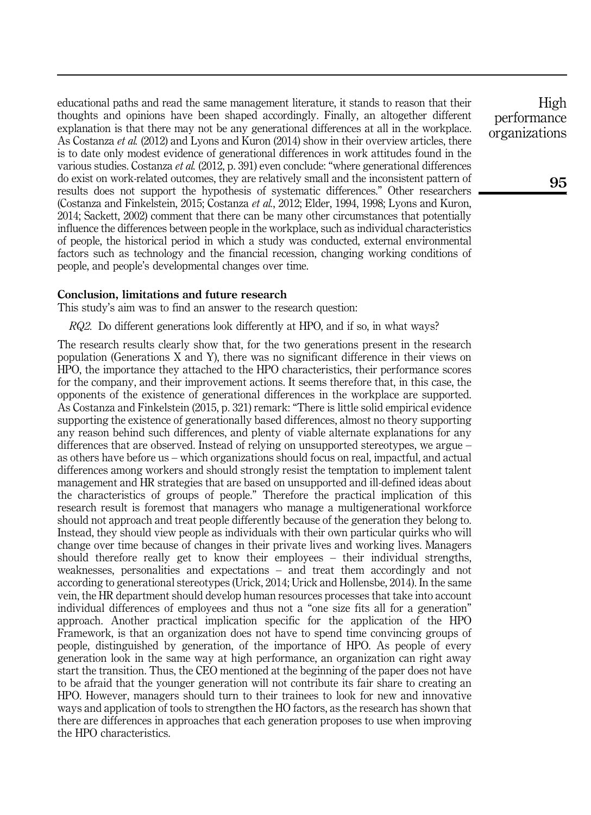educational paths and read the same management literature, it stands to reason that their thoughts and opinions have been shaped accordingly. Finally, an altogether different explanation is that there may not be any generational differences at all in the workplace. As Costanza *et al.* (2012) and Lyons and Kuron (2014) show in their overview articles, there is to date only modest evidence of generational differences in work attitudes found in the various studies. Costanza et al. (2012, p. 391) even conclude: "where generational differences do exist on work-related outcomes, they are relatively small and the inconsistent pattern of results does not support the hypothesis of systematic differences." Other researchers (Costanza and Finkelstein, 2015; Costanza et al., 2012; Elder, 1994, 1998; Lyons and Kuron, 2014; Sackett, 2002) comment that there can be many other circumstances that potentially influence the differences between people in the workplace, such as individual characteristics of people, the historical period in which a study was conducted, external environmental factors such as technology and the financial recession, changing working conditions of people, and people's developmental changes over time.

# Conclusion, limitations and future research

This study's aim was to find an answer to the research question:

RQ2. Do different generations look differently at HPO, and if so, in what ways?

The research results clearly show that, for the two generations present in the research population (Generations X and Y), there was no significant difference in their views on HPO, the importance they attached to the HPO characteristics, their performance scores for the company, and their improvement actions. It seems therefore that, in this case, the opponents of the existence of generational differences in the workplace are supported. As Costanza and Finkelstein (2015, p. 321) remark: "There is little solid empirical evidence supporting the existence of generationally based differences, almost no theory supporting any reason behind such differences, and plenty of viable alternate explanations for any differences that are observed. Instead of relying on unsupported stereotypes, we argue – as others have before us – which organizations should focus on real, impactful, and actual differences among workers and should strongly resist the temptation to implement talent management and HR strategies that are based on unsupported and ill-defined ideas about the characteristics of groups of people." Therefore the practical implication of this research result is foremost that managers who manage a multigenerational workforce should not approach and treat people differently because of the generation they belong to. Instead, they should view people as individuals with their own particular quirks who will change over time because of changes in their private lives and working lives. Managers should therefore really get to know their employees – their individual strengths, weaknesses, personalities and expectations – and treat them accordingly and not according to generational stereotypes (Urick, 2014; Urick and Hollensbe, 2014). In the same vein, the HR department should develop human resources processes that take into account individual differences of employees and thus not a "one size fits all for a generation" approach. Another practical implication specific for the application of the HPO Framework, is that an organization does not have to spend time convincing groups of people, distinguished by generation, of the importance of HPO. As people of every generation look in the same way at high performance, an organization can right away start the transition. Thus, the CEO mentioned at the beginning of the paper does not have to be afraid that the younger generation will not contribute its fair share to creating an HPO. However, managers should turn to their trainees to look for new and innovative ways and application of tools to strengthen the HO factors, as the research has shown that there are differences in approaches that each generation proposes to use when improving the HPO characteristics.

High performance organizations

95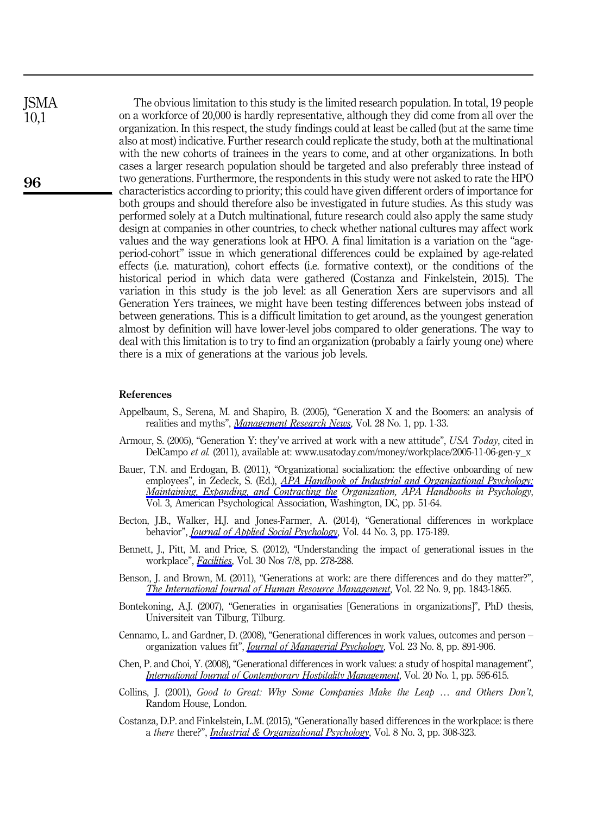The obvious limitation to this study is the limited research population. In total, 19 people on a workforce of 20,000 is hardly representative, although they did come from all over the organization. In this respect, the study findings could at least be called (but at the same time also at most) indicative. Further research could replicate the study, both at the multinational with the new cohorts of trainees in the years to come, and at other organizations. In both cases a larger research population should be targeted and also preferably three instead of two generations. Furthermore, the respondents in this study were not asked to rate the HPO characteristics according to priority; this could have given different orders of importance for both groups and should therefore also be investigated in future studies. As this study was performed solely at a Dutch multinational, future research could also apply the same study design at companies in other countries, to check whether national cultures may affect work values and the way generations look at HPO. A final limitation is a variation on the "ageperiod-cohort" issue in which generational differences could be explained by age-related effects (i.e. maturation), cohort effects (i.e. formative context), or the conditions of the historical period in which data were gathered (Costanza and Finkelstein, 2015). The variation in this study is the job level: as all Generation Xers are supervisors and all Generation Yers trainees, we might have been testing differences between jobs instead of between generations. This is a difficult limitation to get around, as the youngest generation almost by definition will have lower-level jobs compared to older generations. The way to deal with this limitation is to try to find an organization (probably a fairly young one) where there is a mix of generations at the various job levels. 96 **ISMA** 10,1

## References

- Appelbaum, S., Serena, M. and Shapiro, B. (2005), "Generation X and the Boomers: an analysis of realities and myths", [Management Research News](http://www.emeraldinsight.com/action/showLinks?system=10.1108%2F01409170510629023), Vol. 28 No. 1, pp. 1-33.
- Armour, S. (2005), "Generation Y: they've arrived at work with a new attitude", USA Today, cited in DelCampo et al. (2011), available at: [www.usatoday.com/money/workplace/2005-11-06-gen-y\\_x](www.usatoday.com/money/workplace/2005-11-06-gen-y_x)
- Bauer, T.N. and Erdogan, B. (2011), "Organizational socialization: the effective onboarding of new employees", in Zedeck, S. (Ed.), *APA Handbook of Industrial and Organizational Psychology*: [Maintaining, Expanding, and Contracting the](http://www.emeraldinsight.com/action/showLinks?crossref=10.1037%2F12171-002) Organization, APA Handbooks in Psychology, Vol. 3, American Psychological Association, Washington, DC, pp. 51-64.
- Becton, J.B., Walker, H.J. and Jones-Farmer, A. (2014), "Generational differences in workplace behavior", *[Journal of Applied Social Psychology](http://www.emeraldinsight.com/action/showLinks?crossref=10.1111%2Fjasp.12208&isi=000332067300003)*, Vol. 44 No. 3, pp. 175-189.
- Bennett, J., Pitt, M. and Price, S. (2012), "Understanding the impact of generational issues in the workplace", [Facilities](http://www.emeraldinsight.com/action/showLinks?system=10.1108%2F02632771211220086), Vol. 30 Nos 7/8, pp. 278-288.
- Benson, J. and Brown, M. (2011), "Generations at work: are there differences and do they matter?", [The International Journal of Human Resource Management](http://www.emeraldinsight.com/action/showLinks?crossref=10.1080%2F09585192.2011.573966&isi=000291090600002), Vol. 22 No. 9, pp. 1843-1865.
- Bontekoning, A.J. (2007), "Generaties in organisaties [Generations in organizations]", PhD thesis, Universiteit van Tilburg, Tilburg.
- Cennamo, L. and Gardner, D. (2008), "Generational differences in work values, outcomes and person organization values fit", *[Journal of Managerial Psychology](http://www.emeraldinsight.com/action/showLinks?system=10.1108%2F02683940810904385&isi=000261813400004)*, Vol. 23 No. 8, pp. 891-906.
- Chen, P. and Choi, Y. (2008), "Generational differences in work values: a study of hospital management", [International Journal of Contemporary Hospitality Management](http://www.emeraldinsight.com/action/showLinks?system=10.1108%2F09596110810892182), Vol. 20 No. 1, pp. 595-615.
- Collins, J. (2001), Good to Great: Why Some Companies Make the Leap … and Others Don't, Random House, London.
- Costanza, D.P. and Finkelstein, L.M. (2015), "Generationally based differences in the workplace: is there a there there?", *[Industrial & Organizational Psychology](http://www.emeraldinsight.com/action/showLinks?crossref=10.1017%2Fiop.2015.15&isi=000368343300002)*, Vol. 8 No. 3, pp. 308-323.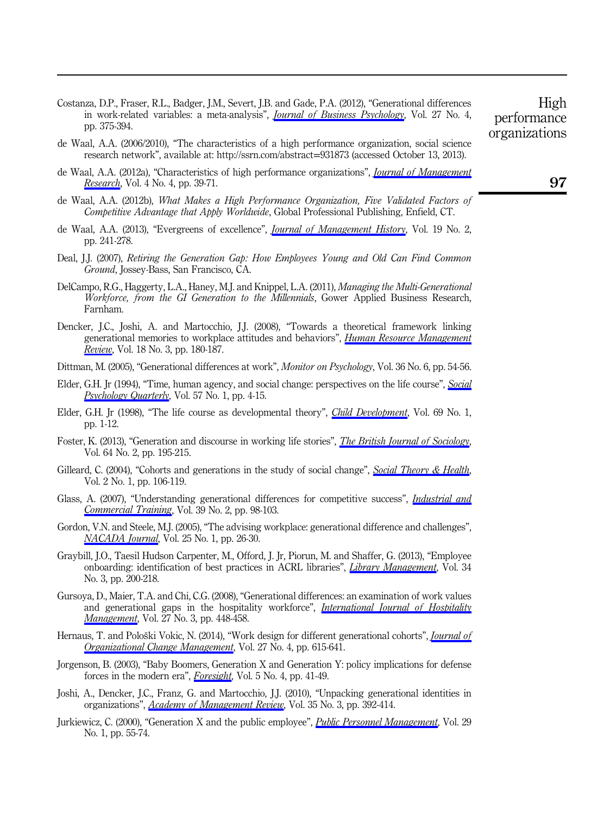- Costanza, D.P., Fraser, R.L., Badger, J.M., Severt, J.B. and Gade, P.A. (2012), "Generational differences in work-related variables: a meta-analysis", *[Journal of Business Psychology](http://www.emeraldinsight.com/action/showLinks?crossref=10.1007%2Fs10869-012-9259-4&isi=000310812000001)*, Vol. 27 No. 4, pp. 375-394.
- de Waal, A.A. (2006/2010), "The characteristics of a high performance organization, social science research network", available at: [http://ssrn.com/abstract](http://ssrn.com/abstract=931873)=931873 (accessed October 13, 2013).
- de Waal, A.A. (2012a), "Characteristics of high performance organizations", *[Journal of Management](http://www.emeraldinsight.com/action/showLinks?crossref=10.5296%2Fjmr.v4i4.2062)* [Research](http://www.emeraldinsight.com/action/showLinks?crossref=10.5296%2Fjmr.v4i4.2062), Vol. 4 No. 4, pp. 39-71.
- de Waal, A.A. (2012b), What Makes a High Performance Organization, Five Validated Factors of Competitive Advantage that Apply Worldwide, Global Professional Publishing, Enfield, CT.
- de Waal, A.A. (2013), "Evergreens of excellence", *[Journal of Management History](http://www.emeraldinsight.com/action/showLinks?system=10.1108%2F17511341311307408)*, Vol. 19 No. 2, pp. 241-278.
- Deal, J.J. (2007), Retiring the Generation Gap: How Employees Young and Old Can Find Common Ground, Jossey-Bass, San Francisco, CA.
- DelCampo, R.G., Haggerty, L.A., Haney, M.J. and Knippel, L.A. (2011), *Managing the Multi-Generational* Workforce, from the GI Generation to the Millennials, Gower Applied Business Research, Farnham.
- Dencker, J.C., Joshi, A. and Martocchio, J.J. (2008), "Towards a theoretical framework linking generational memories to workplace attitudes and behaviors", *[Human Resource Management](http://www.emeraldinsight.com/action/showLinks?crossref=10.1016%2Fj.hrmr.2008.07.007&isi=000207652800007)* [Review](http://www.emeraldinsight.com/action/showLinks?crossref=10.1016%2Fj.hrmr.2008.07.007&isi=000207652800007), Vol. 18 No. 3, pp. 180-187.
- Dittman, M. (2005), "Generational differences at work", *Monitor on Psychology*, Vol. 36 No. 6, pp. 54-56.
- Elder, G.H. Jr (1994), "Time, human agency, and social change: perspectives on the life course", [Social](http://www.emeraldinsight.com/action/showLinks?crossref=10.2307%2F2786971&isi=A1994NE93600004) [Psychology Quarterly](http://www.emeraldinsight.com/action/showLinks?crossref=10.2307%2F2786971&isi=A1994NE93600004), Vol. 57 No. 1, pp. 4-15.
- Elder, G.H. Jr (1998), "The life course as developmental theory", *[Child Development](http://www.emeraldinsight.com/action/showLinks?crossref=10.1111%2Fj.1467-8624.1998.tb06128.x&isi=000072200900001)*, Vol. 69 No. 1, pp. 1-12.
- Foster, K. (2013), "Generation and discourse in working life stories", *[The British Journal of Sociology](http://www.emeraldinsight.com/action/showLinks?crossref=10.1111%2F1468-4446.12014&isi=000319524200001)*, Vol. 64 No. 2, pp. 195-215.
- Gilleard, C. (2004), "Cohorts and generations in the study of social change", [Social Theory & Health](http://www.emeraldinsight.com/action/showLinks?crossref=10.1057%2Fpalgrave.sth.8700023), Vol. 2 No. 1, pp. 106-119.
- Glass, A. (2007), "Understanding generational differences for competitive success", *[Industrial and](http://www.emeraldinsight.com/action/showLinks?system=10.1108%2F00197850710732424)* [Commercial Training](http://www.emeraldinsight.com/action/showLinks?system=10.1108%2F00197850710732424), Vol. 39 No. 2, pp. 98-103.
- Gordon, V.N. and Steele, M.J. (2005), "The advising workplace: generational difference and challenges", [NACADA Journal](http://www.emeraldinsight.com/action/showLinks?crossref=10.12930%2F0271-9517-25.1.26), Vol. 25 No. 1, pp. 26-30.
- Graybill, J.O., Taesil Hudson Carpenter, M., Offord, J. Jr, Piorun, M. and Shaffer, G. (2013), "Employee onboarding: identification of best practices in ACRL libraries", *[Library Management](http://www.emeraldinsight.com/action/showLinks?system=10.1108%2F01435121311310897)*, Vol. 34 No. 3, pp. 200-218.
- Gursoya, D., Maier, T.A. and Chi, C.G. (2008), "Generational differences: an examination of work values and generational gaps in the hospitality workforce", *[International Journal of Hospitality](http://www.emeraldinsight.com/action/showLinks?crossref=10.1016%2Fj.ijhm.2007.11.002&isi=000256999700014) [Management](http://www.emeraldinsight.com/action/showLinks?crossref=10.1016%2Fj.ijhm.2007.11.002&isi=000256999700014)*, Vol. 27 No. 3, pp. 448-458.
- Hernaus, T. and Pološki Vokic, N. (2014), "Work design for different generational cohorts", *[Journal of](http://www.emeraldinsight.com/action/showLinks?system=10.1108%2FJOCM-05-2014-0104&isi=000341930100006)* [Organizational Change Management](http://www.emeraldinsight.com/action/showLinks?system=10.1108%2FJOCM-05-2014-0104&isi=000341930100006), Vol. 27 No. 4, pp. 615-641.
- Jorgenson, B. (2003), "Baby Boomers, Generation X and Generation Y: policy implications for defense forces in the modern era", [Foresight](http://www.emeraldinsight.com/action/showLinks?system=10.1108%2F14636680310494753), Vol. 5 No. 4, pp. 41-49.
- Joshi, A., Dencker, J.C., Franz, G. and Martocchio, J.J. (2010), "Unpacking generational identities in organizations", [Academy of Management Review](http://www.emeraldinsight.com/action/showLinks?crossref=10.5465%2FAMR.2010.51141800&isi=000279042800004), Vol. 35 No. 3, pp. 392-414.
- Jurkiewicz, C. (2000), "Generation X and the public employee", [Public Personnel Management](http://www.emeraldinsight.com/action/showLinks?crossref=10.1177%2F009102600002900105&isi=000088061100005), Vol. 29 No. 1, pp. 55-74.

performance organizations

High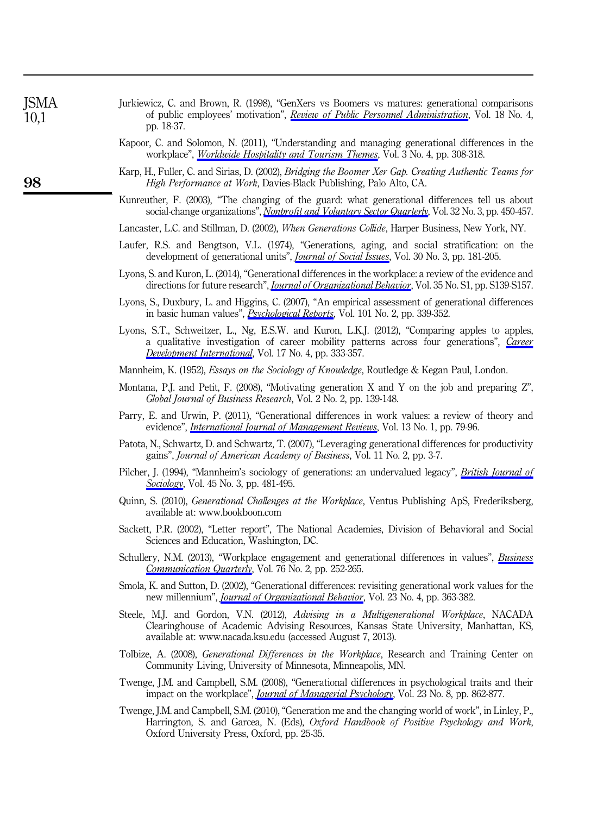| 10,1 | of public employees' motivation", <i>Review of Public Personnel Administration</i> , Vol. 18 No. 4,<br>pp. 18-37.                                                                                                       |
|------|-------------------------------------------------------------------------------------------------------------------------------------------------------------------------------------------------------------------------|
|      | Kapoor, C. and Solomon, N. (2011), "Understanding and managing generational differences in the<br>workplace", <i>Worldwide Hospitality and Tourism Themes</i> , Vol. 3 No. 4, pp. 308-318.                              |
| 98   | Karp, H., Fuller, C. and Sirias, D. (2002), <i>Bridging the Boomer Xer Gap. Creating Authentic Teams for</i><br><i>High Performance at Work</i> , Davies-Black Publishing, Palo Alto, CA.                               |
|      | Kunreuther, F. (2003), "The changing of the guard: what generational differences tell us about<br>social-change organizations", <i>Nonprofit and Voluntary Sector Quarterly</i> , Vol. 32 No. 3, pp. 450-457.           |
|      | Lancaster, L.C. and Stillman, D. (2002), <i>When Generations Collide</i> , Harper Business, New York, NY.                                                                                                               |
|      | Laufer, R.S. and Bengtson, V.L. (1974), "Generations, aging, and social stratification: on the<br>development of generational units", <i>Journal of Social Issues</i> , Vol. 30 No. 3, pp. 181-205.                     |
|      | Lyons, S. and Kuron, L. (2014), "Generational differences in the workplace: a review of the evidence and<br>directions for future research", <i>Journal of Organizational Behavior</i> , Vol. 35 No. S1, pp. S139-S157. |
|      | Lyons, S., Duxbury, L. and Higgins, C. (2007), "An empirical assessment of generational differences                                                                                                                     |

**ISMA**  $1^{\circ}$  1

[Development International](http://www.emeraldinsight.com/action/showLinks?system=10.1108%2F13620431211255824&isi=000311524700003), Vol. 17 No. 4, pp. 333-357.

in basic human values", *[Psychological Reports](http://www.emeraldinsight.com/action/showLinks?crossref=10.2466%2Fpr0.101.2.339-352&isi=000251227400001)*, Vol. 101 No. 2, pp. 339-352. Lyons, S.T., Schweitzer, L., Ng, E.S.W. and Kuron, L.K.J. (2012), "Comparing apples to apples, a qualitative investigation of career mobility patterns across four generations", [Career](http://www.emeraldinsight.com/action/showLinks?system=10.1108%2F13620431211255824&isi=000311524700003)

Jurkiewicz, C. and Brown, R. (1998), "GenXers vs Boomers vs matures: generational comparisons

Mannheim, K. (1952), *Essays on the Sociology of Knowledge*, Routledge & Kegan Paul, London.

- Montana, P.J. and Petit, F. (2008), "Motivating generation X and Y on the job and preparing Z", Global Journal of Business Research, Vol. 2 No. 2, pp. 139-148.
- Parry, E. and Urwin, P. (2011), "Generational differences in work values: a review of theory and evidence", *[International Journal of Management Reviews](http://www.emeraldinsight.com/action/showLinks?crossref=10.1111%2Fj.1468-2370.2010.00285.x&isi=000286475600005)*, Vol. 13 No. 1, pp. 79-96.
- Patota, N., Schwartz, D. and Schwartz, T. (2007), "Leveraging generational differences for productivity gains", Journal of American Academy of Business, Vol. 11 No. 2, pp. 3-7.
- Pilcher, J. (1994), "Mannheim's sociology of generations: an undervalued legacy", *[British Journal of](http://www.emeraldinsight.com/action/showLinks?crossref=10.2307%2F591659&isi=A1994PM37900008)* [Sociology](http://www.emeraldinsight.com/action/showLinks?crossref=10.2307%2F591659&isi=A1994PM37900008), Vol. 45 No. 3, pp. 481-495.
- Quinn, S. (2010), Generational Challenges at the Workplace, Ventus Publishing ApS, Frederiksberg, available at:<www.bookboon.com>
- Sackett, P.R. (2002), "Letter report", The National Academies, Division of Behavioral and Social Sciences and Education, Washington, DC.
- Schullery, N.M. (2013), "Workplace engagement and generational differences in values", *[Business](http://www.emeraldinsight.com/action/showLinks?crossref=10.1177%2F1080569913476543)* [Communication Quarterly](http://www.emeraldinsight.com/action/showLinks?crossref=10.1177%2F1080569913476543), Vol. 76 No. 2, pp. 252-265.
- Smola, K. and Sutton, D. (2002), "Generational differences: revisiting generational work values for the new millennium", *[Journal of Organizational Behavior](http://www.emeraldinsight.com/action/showLinks?crossref=10.1002%2Fjob.147&isi=000175657400003)*, Vol. 23 No. 4, pp. 363-382.
- Steele, M.J. and Gordon, V.N. (2012), Advising in a Multigenerational Workplace, NACADA Clearinghouse of Academic Advising Resources, Kansas State University, Manhattan, KS, available at:<www.nacada.ksu.edu> (accessed August 7, 2013).
- Tolbize, A. (2008), Generational Differences in the Workplace, Research and Training Center on Community Living, University of Minnesota, Minneapolis, MN.
- Twenge, J.M. and Campbell, S.M. (2008), "Generational differences in psychological traits and their impact on the workplace", *[Journal of Managerial Psychology](http://www.emeraldinsight.com/action/showLinks?system=10.1108%2F02683940810904367&isi=000261813400002)*, Vol. 23 No. 8, pp. 862-877.
- Twenge, J.M. and Campbell, S.M. (2010), "Generation me and the changing world of work", in Linley, P., Harrington, S. and Garcea, N. (Eds), Oxford Handbook of Positive Psychology and Work, Oxford University Press, Oxford, pp. 25-35.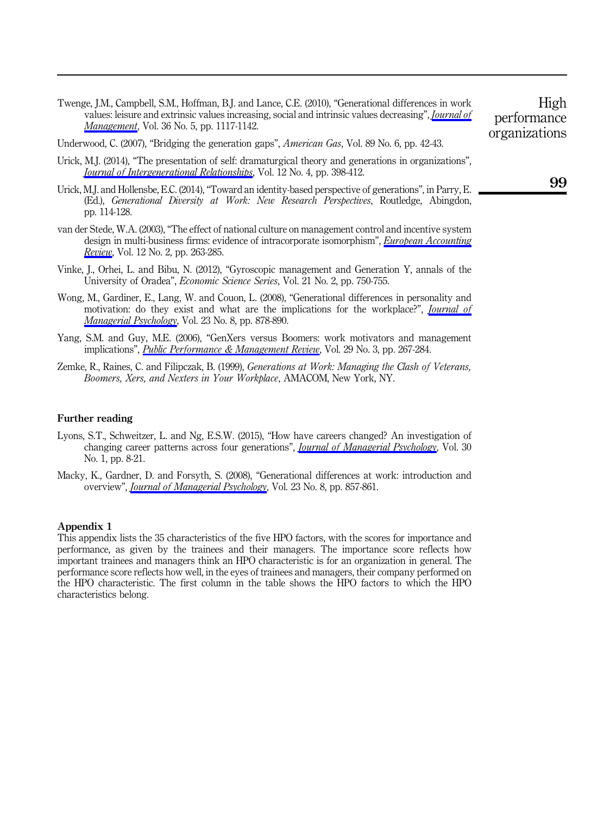Twenge, J.M., Campbell, S.M., Hoffman, B.J. and Lance, C.E. (2010), "Generational differences in work values: leisure and extrinsic values increasing, social and intrinsic values decreasing", [Journal of](http://www.emeraldinsight.com/action/showLinks?crossref=10.1177%2F0149206309352246&isi=000282519600001) [Management](http://www.emeraldinsight.com/action/showLinks?crossref=10.1177%2F0149206309352246&isi=000282519600001), Vol. 36 No. 5, pp. 1117-1142.

Underwood, C. (2007), "Bridging the generation gaps", *American Gas*, Vol. 89 No. 6, pp. 42-43.

- Urick, M.J. (2014), "The presentation of self: dramaturgical theory and generations in organizations", [Journal of Intergenerational Relationships](http://www.emeraldinsight.com/action/showLinks?crossref=10.1080%2F15350770.2014.961829), Vol. 12 No. 4, pp. 398-412.
- Urick, M.J. and Hollensbe, E.C. (2014), "Toward an identity-based perspective of generations", in Parry, E. (Ed.), Generational Diversity at Work: New Research Perspectives, Routledge, Abingdon, pp. 114-128.
- van der Stede, W.A. (2003), "The effect of national culture on management control and incentive system design in multi-business firms: evidence of intracorporate isomorphism", *[European Accounting](http://www.emeraldinsight.com/action/showLinks?crossref=10.1080%2F0963818022000009859)* [Review](http://www.emeraldinsight.com/action/showLinks?crossref=10.1080%2F0963818022000009859), Vol. 12 No. 2, pp. 263-285.
- Vinke, J., Orhei, L. and Bibu, N. (2012), "Gyroscopic management and Generation Y, annals of the University of Oradea", Economic Science Series, Vol. 21 No. 2, pp. 750-755.
- Wong, M., Gardiner, E., Lang, W. and Couon, L. (2008), "Generational differences in personality and motivation: do they exist and what are the implications for the workplace?", *[Journal of](http://www.emeraldinsight.com/action/showLinks?system=10.1108%2F02683940810904376&isi=000261813400003)* [Managerial Psychology](http://www.emeraldinsight.com/action/showLinks?system=10.1108%2F02683940810904376&isi=000261813400003), Vol. 23 No. 8, pp. 878-890.
- Yang, S.M. and Guy, M.E. (2006), "GenXers versus Boomers: work motivators and management implications", [Public Performance & Management Review](http://www.emeraldinsight.com/action/showLinks?crossref=10.2753%2FPMR1530-9576290302), Vol. 29 No. 3, pp. 267-284.
- Zemke, R., Raines, C. and Filipczak, B. (1999), *Generations at Work: Managing the Clash of Veterans*, Boomers, Xers, and Nexters in Your Workplace, AMACOM, New York, NY.

## Further reading

- Lyons, S.T., Schweitzer, L. and Ng, E.S.W. (2015), "How have careers changed? An investigation of changing career patterns across four generations", *[Journal of Managerial Psychology](http://www.emeraldinsight.com/action/showLinks?system=10.1108%2FJMP-07-2014-0210&isi=000350584100002)*, Vol. 30 No. 1, pp. 8-21.
- Macky, K., Gardner, D. and Forsyth, S. (2008), "Generational differences at work: introduction and overview", *[Journal of Managerial Psychology](http://www.emeraldinsight.com/action/showLinks?system=10.1108%2F02683940810904358&isi=000261813400001)*, Vol. 23 No. 8, pp. 857-861.

#### Appendix 1

This appendix lists the 35 characteristics of the five HPO factors, with the scores for importance and performance, as given by the trainees and their managers. The importance score reflects how important trainees and managers think an HPO characteristic is for an organization in general. The performance score reflects how well, in the eyes of trainees and managers, their company performed on the HPO characteristic. The first column in the table shows the HPO factors to which the HPO characteristics belong.

High performance organizations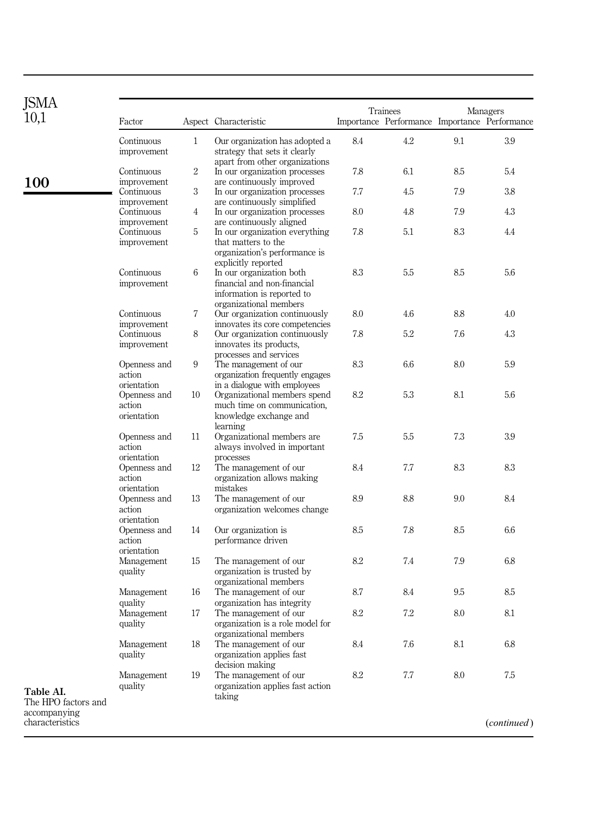| JSMA                                             |                                                      |              |                                                                                                                                               |     |                                                           |     |             |
|--------------------------------------------------|------------------------------------------------------|--------------|-----------------------------------------------------------------------------------------------------------------------------------------------|-----|-----------------------------------------------------------|-----|-------------|
| 10,1                                             | Factor                                               |              | Aspect Characteristic                                                                                                                         |     | Trainees<br>Importance Performance Importance Performance |     | Managers    |
|                                                  | Continuous<br>improvement                            | $\mathbf{1}$ | Our organization has adopted a<br>strategy that sets it clearly<br>apart from other organizations                                             | 8.4 | 4.2                                                       | 9.1 | 3.9         |
|                                                  | Continuous                                           | 2            | In our organization processes                                                                                                                 | 7.8 | 6.1                                                       | 8.5 | 5.4         |
| 100                                              | improvement<br>Continuous<br>improvement             | 3            | are continuously improved<br>In our organization processes<br>are continuously simplified                                                     | 7.7 | 4.5                                                       | 7.9 | 3.8         |
|                                                  | Continuous                                           | 4            | In our organization processes                                                                                                                 | 8.0 | 4.8                                                       | 7.9 | 4.3         |
|                                                  | improvement<br>Continuous<br>improvement             | 5            | are continuously aligned<br>In our organization everything<br>that matters to the                                                             | 7.8 | 5.1                                                       | 8.3 | 4.4         |
|                                                  | Continuous<br>improvement                            | 6            | organization's performance is<br>explicitly reported<br>In our organization both<br>financial and non-financial<br>information is reported to | 8.3 | 5.5                                                       | 8.5 | 5.6         |
|                                                  | Continuous<br>improvement                            | 7            | organizational members<br>Our organization continuously<br>innovates its core competencies                                                    | 8.0 | 4.6                                                       | 8.8 | 4.0         |
|                                                  | Continuous<br>improvement                            | 8            | Our organization continuously<br>innovates its products,                                                                                      | 7.8 | 5.2                                                       | 7.6 | 4.3         |
|                                                  | Openness and<br>action                               | 9            | processes and services<br>The management of our<br>organization frequently engages                                                            | 8.3 | 6.6                                                       | 8.0 | 5.9         |
|                                                  | orientation<br>Openness and<br>action<br>orientation | 10           | in a dialogue with employees<br>Organizational members spend<br>much time on communication,<br>knowledge exchange and                         | 8.2 | 5.3                                                       | 8.1 | 5.6         |
|                                                  | Openness and<br>action                               | 11           | learning<br>Organizational members are<br>always involved in important                                                                        | 7.5 | 5.5                                                       | 7.3 | 3.9         |
|                                                  | orientation<br>Openness and<br>action                | 12           | processes<br>The management of our<br>organization allows making                                                                              | 8.4 | 7.7                                                       | 8.3 | 8.3         |
|                                                  | orientation<br>Openness and<br>action                | 13           | mistakes<br>The management of our<br>organization welcomes change                                                                             | 8.9 | 8.8                                                       | 9.0 | 8.4         |
|                                                  | orientation<br>Openness and<br>action<br>orientation | 14           | Our organization is<br>performance driven                                                                                                     | 8.5 | 7.8                                                       | 8.5 | 6.6         |
|                                                  | Management<br>quality                                | 15           | The management of our<br>organization is trusted by<br>organizational members                                                                 | 8.2 | 7.4                                                       | 7.9 | 6.8         |
|                                                  | Management                                           | 16           | The management of our                                                                                                                         | 8.7 | 8.4                                                       | 9.5 | 8.5         |
|                                                  | quality<br>Management<br>quality                     | 17           | organization has integrity<br>The management of our<br>organization is a role model for                                                       | 8.2 | 7.2                                                       | 8.0 | 8.1         |
|                                                  | Management<br>quality                                | 18           | organizational members<br>The management of our<br>organization applies fast                                                                  | 8.4 | 7.6                                                       | 8.1 | 6.8         |
| Table AI.<br>The HPO factors and<br>accompanying | Management<br>quality                                | 19           | decision making<br>The management of our<br>organization applies fast action<br>taking                                                        | 8.2 | 7.7                                                       | 8.0 | 7.5         |
| characteristics                                  |                                                      |              |                                                                                                                                               |     |                                                           |     | (continued) |